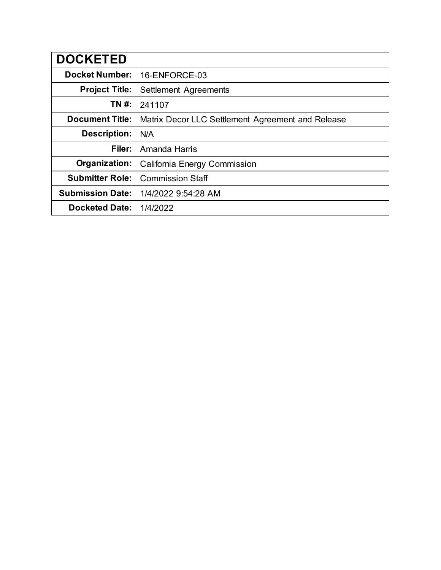| <b>DOCKETED</b>         |                                                   |
|-------------------------|---------------------------------------------------|
| <b>Docket Number:</b>   | 16-ENFORCE-03                                     |
| <b>Project Title:</b>   | Settlement Agreements                             |
| TN #:                   | 241107                                            |
| <b>Document Title:</b>  | Matrix Decor LLC Settlement Agreement and Release |
| Description:            | N/A                                               |
| Filer:                  | Amanda Harris                                     |
| Organization:           | California Energy Commission                      |
| <b>Submitter Role:</b>  | <b>Commission Staff</b>                           |
| <b>Submission Date:</b> | 1/4/2022 9:54:28 AM                               |
| <b>Docketed Date:</b>   | 1/4/2022                                          |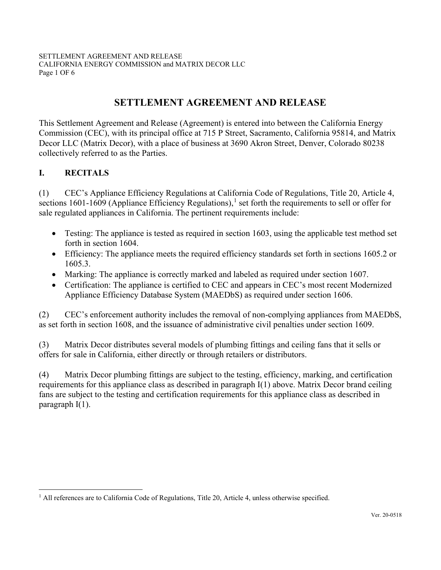SETTLEMENT AGREEMENT AND RELEASE CALIFORNIA ENERGY COMMISSION and MATRIX DECOR LLC Page 1 OF 6

# **SETTLEMENT AGREEMENT AND RELEASE**

This Settlement Agreement and Release (Agreement) is entered into between the California Energy Commission (CEC), with its principal office at 715 P Street, Sacramento, California 95814, and Matrix Decor LLC (Matrix Decor), with a place of business at 3690 Akron Street, Denver, Colorado 80238 collectively referred to as the Parties.

### **I. RECITALS**

(1) CEC's Appliance Efficiency Regulations at California Code of Regulations, Title 20, Article 4, sections [1](#page-1-0)601-1609 (Appliance Efficiency Regulations),<sup>1</sup> set forth the requirements to sell or offer for sale regulated appliances in California. The pertinent requirements include:

- Testing: The appliance is tested as required in section 1603, using the applicable test method set forth in section 1604.
- Efficiency: The appliance meets the required efficiency standards set forth in sections 1605.2 or 1605.3.
- Marking: The appliance is correctly marked and labeled as required under section 1607.
- Certification: The appliance is certified to CEC and appears in CEC's most recent Modernized Appliance Efficiency Database System (MAEDbS) as required under section 1606.

(2) CEC's enforcement authority includes the removal of non-complying appliances from MAEDbS, as set forth in section 1608, and the issuance of administrative civil penalties under section 1609.

(3) Matrix Decor distributes several models of plumbing fittings and ceiling fans that it sells or offers for sale in California, either directly or through retailers or distributors.

(4) Matrix Decor plumbing fittings are subject to the testing, efficiency, marking, and certification requirements for this appliance class as described in paragraph I(1) above. Matrix Decor brand ceiling fans are subject to the testing and certification requirements for this appliance class as described in paragraph I(1).

<span id="page-1-0"></span><sup>&</sup>lt;sup>1</sup> All references are to California Code of Regulations, Title 20, Article 4, unless otherwise specified.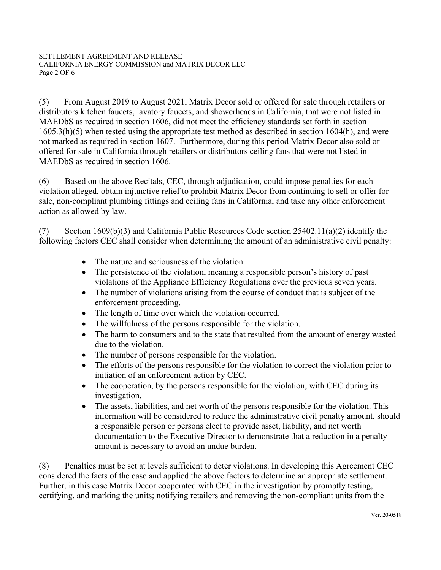(5) From August 2019 to August 2021, Matrix Decor sold or offered for sale through retailers or distributors kitchen faucets, lavatory faucets, and showerheads in California, that were not listed in MAEDbS as required in section 1606, did not meet the efficiency standards set forth in section 1605.3(h)(5) when tested using the appropriate test method as described in section 1604(h), and were not marked as required in section 1607. Furthermore, during this period Matrix Decor also sold or offered for sale in California through retailers or distributors ceiling fans that were not listed in MAEDbS as required in section 1606.

(6) Based on the above Recitals, CEC, through adjudication, could impose penalties for each violation alleged, obtain injunctive relief to prohibit Matrix Decor from continuing to sell or offer for sale, non-compliant plumbing fittings and ceiling fans in California, and take any other enforcement action as allowed by law.

(7) Section 1609(b)(3) and California Public Resources Code section 25402.11(a)(2) identify the following factors CEC shall consider when determining the amount of an administrative civil penalty:

- The nature and seriousness of the violation.
- The persistence of the violation, meaning a responsible person's history of past violations of the Appliance Efficiency Regulations over the previous seven years.
- The number of violations arising from the course of conduct that is subject of the enforcement proceeding.
- The length of time over which the violation occurred.
- The willfulness of the persons responsible for the violation.
- The harm to consumers and to the state that resulted from the amount of energy wasted due to the violation.
- The number of persons responsible for the violation.
- The efforts of the persons responsible for the violation to correct the violation prior to initiation of an enforcement action by CEC.
- The cooperation, by the persons responsible for the violation, with CEC during its investigation.
- The assets, liabilities, and net worth of the persons responsible for the violation. This information will be considered to reduce the administrative civil penalty amount, should a responsible person or persons elect to provide asset, liability, and net worth documentation to the Executive Director to demonstrate that a reduction in a penalty amount is necessary to avoid an undue burden.

(8) Penalties must be set at levels sufficient to deter violations. In developing this Agreement CEC considered the facts of the case and applied the above factors to determine an appropriate settlement. Further, in this case Matrix Decor cooperated with CEC in the investigation by promptly testing, certifying, and marking the units; notifying retailers and removing the non-compliant units from the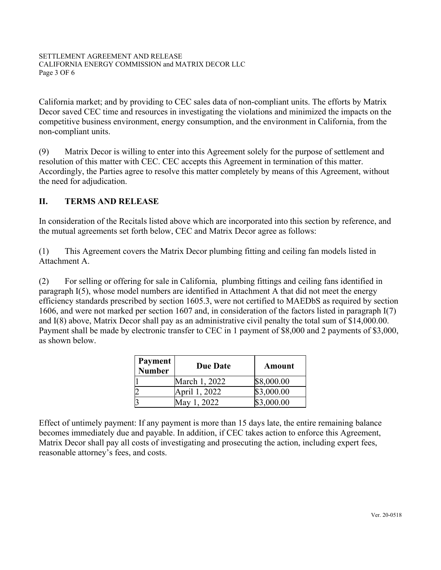California market; and by providing to CEC sales data of non-compliant units. The efforts by Matrix Decor saved CEC time and resources in investigating the violations and minimized the impacts on the competitive business environment, energy consumption, and the environment in California, from the non-compliant units.

(9) Matrix Decor is willing to enter into this Agreement solely for the purpose of settlement and resolution of this matter with CEC. CEC accepts this Agreement in termination of this matter. Accordingly, the Parties agree to resolve this matter completely by means of this Agreement, without the need for adjudication.

## **II. TERMS AND RELEASE**

In consideration of the Recitals listed above which are incorporated into this section by reference, and the mutual agreements set forth below, CEC and Matrix Decor agree as follows:

(1) This Agreement covers the Matrix Decor plumbing fitting and ceiling fan models listed in Attachment A.

(2) For selling or offering for sale in California, plumbing fittings and ceiling fans identified in paragraph I(5), whose model numbers are identified in Attachment A that did not meet the energy efficiency standards prescribed by section 1605.3, were not certified to MAEDbS as required by section 1606, and were not marked per section 1607 and, in consideration of the factors listed in paragraph I(7) and I(8) above, Matrix Decor shall pay as an administrative civil penalty the total sum of \$14,000.00. Payment shall be made by electronic transfer to CEC in 1 payment of \$8,000 and 2 payments of \$3,000, as shown below.

| <b>Payment</b><br><b>Number</b> | <b>Due Date</b> | Amount     |
|---------------------------------|-----------------|------------|
|                                 | March 1, 2022   | \$8,000.00 |
|                                 | April 1, 2022   | \$3,000.00 |
|                                 | May 1, 2022     | \$3,000.00 |

Effect of untimely payment: If any payment is more than 15 days late, the entire remaining balance becomes immediately due and payable. In addition, if CEC takes action to enforce this Agreement, Matrix Decor shall pay all costs of investigating and prosecuting the action, including expert fees, reasonable attorney's fees, and costs.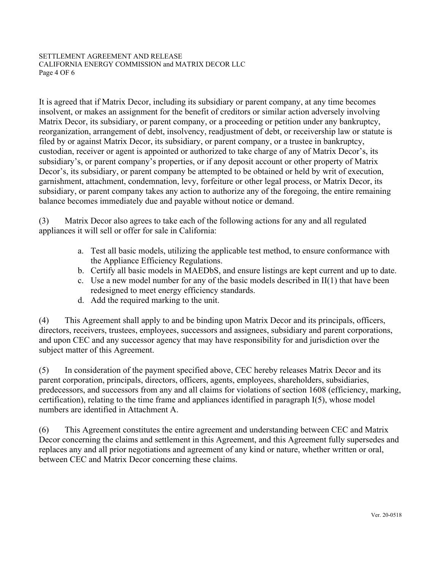#### SETTLEMENT AGREEMENT AND RELEASE CALIFORNIA ENERGY COMMISSION and MATRIX DECOR LLC Page 4 OF 6

It is agreed that if Matrix Decor, including its subsidiary or parent company, at any time becomes insolvent, or makes an assignment for the benefit of creditors or similar action adversely involving Matrix Decor, its subsidiary, or parent company, or a proceeding or petition under any bankruptcy, reorganization, arrangement of debt, insolvency, readjustment of debt, or receivership law or statute is filed by or against Matrix Decor, its subsidiary, or parent company, or a trustee in bankruptcy, custodian, receiver or agent is appointed or authorized to take charge of any of Matrix Decor's, its subsidiary's, or parent company's properties, or if any deposit account or other property of Matrix Decor's, its subsidiary, or parent company be attempted to be obtained or held by writ of execution, garnishment, attachment, condemnation, levy, forfeiture or other legal process, or Matrix Decor, its subsidiary, or parent company takes any action to authorize any of the foregoing, the entire remaining balance becomes immediately due and payable without notice or demand.

(3) Matrix Decor also agrees to take each of the following actions for any and all regulated appliances it will sell or offer for sale in California:

- a. Test all basic models, utilizing the applicable test method, to ensure conformance with the Appliance Efficiency Regulations.
- b. Certify all basic models in MAEDbS, and ensure listings are kept current and up to date.
- c. Use a new model number for any of the basic models described in  $II(1)$  that have been redesigned to meet energy efficiency standards.
- d. Add the required marking to the unit.

(4) This Agreement shall apply to and be binding upon Matrix Decor and its principals, officers, directors, receivers, trustees, employees, successors and assignees, subsidiary and parent corporations, and upon CEC and any successor agency that may have responsibility for and jurisdiction over the subject matter of this Agreement.

(5) In consideration of the payment specified above, CEC hereby releases Matrix Decor and its parent corporation, principals, directors, officers, agents, employees, shareholders, subsidiaries, predecessors, and successors from any and all claims for violations of section 1608 (efficiency, marking, certification), relating to the time frame and appliances identified in paragraph I(5), whose model numbers are identified in Attachment A.

(6) This Agreement constitutes the entire agreement and understanding between CEC and Matrix Decor concerning the claims and settlement in this Agreement, and this Agreement fully supersedes and replaces any and all prior negotiations and agreement of any kind or nature, whether written or oral, between CEC and Matrix Decor concerning these claims.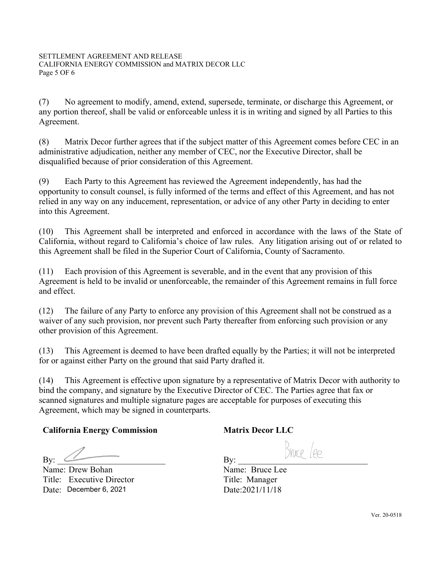(7) No agreement to modify, amend, extend, supersede, terminate, or discharge this Agreement, or any portion thereof, shall be valid or enforceable unless it is in writing and signed by all Parties to this Agreement.

(8) Matrix Decor further agrees that if the subject matter of this Agreement comes before CEC in an administrative adjudication, neither any member of CEC, nor the Executive Director, shall be disqualified because of prior consideration of this Agreement.

(9) Each Party to this Agreement has reviewed the Agreement independently, has had the opportunity to consult counsel, is fully informed of the terms and effect of this Agreement, and has not relied in any way on any inducement, representation, or advice of any other Party in deciding to enter into this Agreement.

(10) This Agreement shall be interpreted and enforced in accordance with the laws of the State of California, without regard to California's choice of law rules. Any litigation arising out of or related to this Agreement shall be filed in the Superior Court of California, County of Sacramento.

(11) Each provision of this Agreement is severable, and in the event that any provision of this Agreement is held to be invalid or unenforceable, the remainder of this Agreement remains in full force and effect.

(12) The failure of any Party to enforce any provision of this Agreement shall not be construed as a waiver of any such provision, nor prevent such Party thereafter from enforcing such provision or any other provision of this Agreement.

(13) This Agreement is deemed to have been drafted equally by the Parties; it will not be interpreted for or against either Party on the ground that said Party drafted it.

(14) This Agreement is effective upon signature by a representative of Matrix Decor with authority to bind the company, and signature by the Executive Director of CEC. The Parties agree that fax or scanned signatures and multiple signature pages are acceptable for purposes of executing this Agreement, which may be signed in counterparts.

## **California Energy Commission**

By:  $\qquad \qquad$ 

Name: Drew Bohan By: <u>Community</u><br>
Summe: Drew Bohan<br>
Title: Executive Director Date: December 6, 2021

## **Matrix Decor LLC**

By: \_\_\_\_\_\_\_\_\_\_\_\_\_\_\_\_\_\_\_\_\_\_\_\_\_\_\_\_\_\_

Name: Bruce Lee Title: Manager Date: 2021/11/18